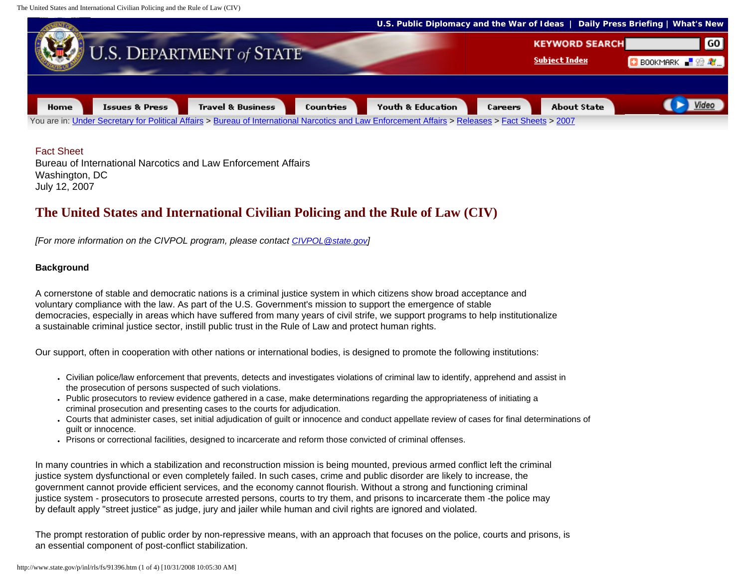The United States and International Civilian Policing and the Rule of Law (CIV)



## Fact Sheet

Bureau of International Narcotics and Law Enforcement Affairs Washington, DC July 12, 2007

# **The United States and International Civilian Policing and the Rule of Law (CIV)**

*[For more information on the CIVPOL program, please contact [CIVPOL@state.gov](mailto:CIVPOL@state.gov)]*

# **Background**

A cornerstone of stable and democratic nations is a criminal justice system in which citizens show broad acceptance and voluntary compliance with the law. As part of the U.S. Government's mission to support the emergence of stable democracies, especially in areas which have suffered from many years of civil strife, we support programs to help institutionalize a sustainable criminal justice sector, instill public trust in the Rule of Law and protect human rights.

Our support, often in cooperation with other nations or international bodies, is designed to promote the following institutions:

- Civilian police/law enforcement that prevents, detects and investigates violations of criminal law to identify, apprehend and assist in the prosecution of persons suspected of such violations.
- Public prosecutors to review evidence gathered in a case, make determinations regarding the appropriateness of initiating a criminal prosecution and presenting cases to the courts for adjudication.
- Courts that administer cases, set initial adjudication of quilt or innocence and conduct appellate review of cases for final determinations of guilt or innocence.
- Prisons or correctional facilities, designed to incarcerate and reform those convicted of criminal offenses.

In many countries in which a stabilization and reconstruction mission is being mounted, previous armed conflict left the criminal justice system dysfunctional or even completely failed. In such cases, crime and public disorder are likely to increase, the government cannot provide efficient services, and the economy cannot flourish. Without a strong and functioning criminal justice system - prosecutors to prosecute arrested persons, courts to try them, and prisons to incarcerate them -the police may by default apply "street justice" as judge, jury and jailer while human and civil rights are ignored and violated.

The prompt restoration of public order by non-repressive means, with an approach that focuses on the police, courts and prisons, is an essential component of post-conflict stabilization.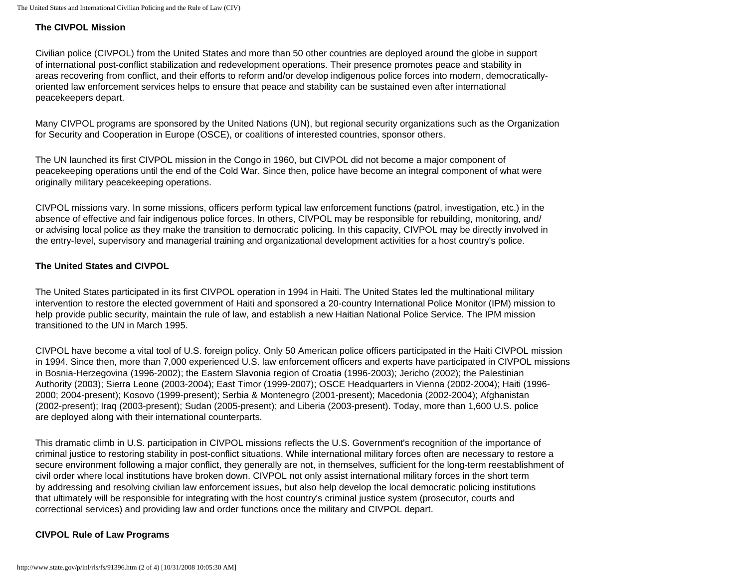#### **The CIVPOL Mission**

Civilian police (CIVPOL) from the United States and more than 50 other countries are deployed around the globe in support of international post-conflict stabilization and redevelopment operations. Their presence promotes peace and stability in areas recovering from conflict, and their efforts to reform and/or develop indigenous police forces into modern, democraticallyoriented law enforcement services helps to ensure that peace and stability can be sustained even after international peacekeepers depart.

Many CIVPOL programs are sponsored by the United Nations (UN), but regional security organizations such as the Organization for Security and Cooperation in Europe (OSCE), or coalitions of interested countries, sponsor others.

The UN launched its first CIVPOL mission in the Congo in 1960, but CIVPOL did not become a major component of peacekeeping operations until the end of the Cold War. Since then, police have become an integral component of what were originally military peacekeeping operations.

CIVPOL missions vary. In some missions, officers perform typical law enforcement functions (patrol, investigation, etc.) in the absence of effective and fair indigenous police forces. In others, CIVPOL may be responsible for rebuilding, monitoring, and/ or advising local police as they make the transition to democratic policing. In this capacity, CIVPOL may be directly involved in the entry-level, supervisory and managerial training and organizational development activities for a host country's police.

## **The United States and CIVPOL**

The United States participated in its first CIVPOL operation in 1994 in Haiti. The United States led the multinational military intervention to restore the elected government of Haiti and sponsored a 20-country International Police Monitor (IPM) mission to help provide public security, maintain the rule of law, and establish a new Haitian National Police Service. The IPM mission transitioned to the UN in March 1995.

CIVPOL have become a vital tool of U.S. foreign policy. Only 50 American police officers participated in the Haiti CIVPOL mission in 1994. Since then, more than 7,000 experienced U.S. law enforcement officers and experts have participated in CIVPOL missions in Bosnia-Herzegovina (1996-2002); the Eastern Slavonia region of Croatia (1996-2003); Jericho (2002); the Palestinian Authority (2003); Sierra Leone (2003-2004); East Timor (1999-2007); OSCE Headquarters in Vienna (2002-2004); Haiti (1996- 2000; 2004-present); Kosovo (1999-present); Serbia & Montenegro (2001-present); Macedonia (2002-2004); Afghanistan (2002-present); Iraq (2003-present); Sudan (2005-present); and Liberia (2003-present). Today, more than 1,600 U.S. police are deployed along with their international counterparts.

This dramatic climb in U.S. participation in CIVPOL missions reflects the U.S. Government's recognition of the importance of criminal justice to restoring stability in post-conflict situations. While international military forces often are necessary to restore a secure environment following a major conflict, they generally are not, in themselves, sufficient for the long-term reestablishment of civil order where local institutions have broken down. CIVPOL not only assist international military forces in the short term by addressing and resolving civilian law enforcement issues, but also help develop the local democratic policing institutions that ultimately will be responsible for integrating with the host country's criminal justice system (prosecutor, courts and correctional services) and providing law and order functions once the military and CIVPOL depart.

# **CIVPOL Rule of Law Programs**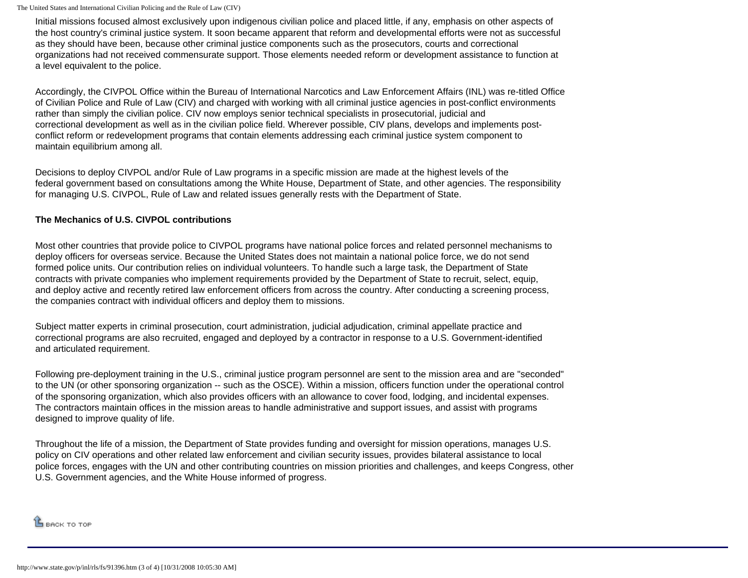The United States and International Civilian Policing and the Rule of Law (CIV)

Initial missions focused almost exclusively upon indigenous civilian police and placed little, if any, emphasis on other aspects of the host country's criminal justice system. It soon became apparent that reform and developmental efforts were not as successful as they should have been, because other criminal justice components such as the prosecutors, courts and correctional organizations had not received commensurate support. Those elements needed reform or development assistance to function at a level equivalent to the police.

Accordingly, the CIVPOL Office within the Bureau of International Narcotics and Law Enforcement Affairs (INL) was re-titled Office of Civilian Police and Rule of Law (CIV) and charged with working with all criminal justice agencies in post-conflict environments rather than simply the civilian police. CIV now employs senior technical specialists in prosecutorial, judicial and correctional development as well as in the civilian police field. Wherever possible, CIV plans, develops and implements postconflict reform or redevelopment programs that contain elements addressing each criminal justice system component to maintain equilibrium among all.

Decisions to deploy CIVPOL and/or Rule of Law programs in a specific mission are made at the highest levels of the federal government based on consultations among the White House, Department of State, and other agencies. The responsibility for managing U.S. CIVPOL, Rule of Law and related issues generally rests with the Department of State.

## **The Mechanics of U.S. CIVPOL contributions**

Most other countries that provide police to CIVPOL programs have national police forces and related personnel mechanisms to deploy officers for overseas service. Because the United States does not maintain a national police force, we do not send formed police units. Our contribution relies on individual volunteers. To handle such a large task, the Department of State contracts with private companies who implement requirements provided by the Department of State to recruit, select, equip, and deploy active and recently retired law enforcement officers from across the country. After conducting a screening process, the companies contract with individual officers and deploy them to missions.

Subject matter experts in criminal prosecution, court administration, judicial adjudication, criminal appellate practice and correctional programs are also recruited, engaged and deployed by a contractor in response to a U.S. Government-identified and articulated requirement.

Following pre-deployment training in the U.S., criminal justice program personnel are sent to the mission area and are "seconded" to the UN (or other sponsoring organization -- such as the OSCE). Within a mission, officers function under the operational control of the sponsoring organization, which also provides officers with an allowance to cover food, lodging, and incidental expenses. The contractors maintain offices in the mission areas to handle administrative and support issues, and assist with programs designed to improve quality of life.

Throughout the life of a mission, the Department of State provides funding and oversight for mission operations, manages U.S. policy on CIV operations and other related law enforcement and civilian security issues, provides bilateral assistance to local police forces, engages with the UN and other contributing countries on mission priorities and challenges, and keeps Congress, other U.S. Government agencies, and the White House informed of progress.

 $\mathbf{\hat{B}}$  back to top